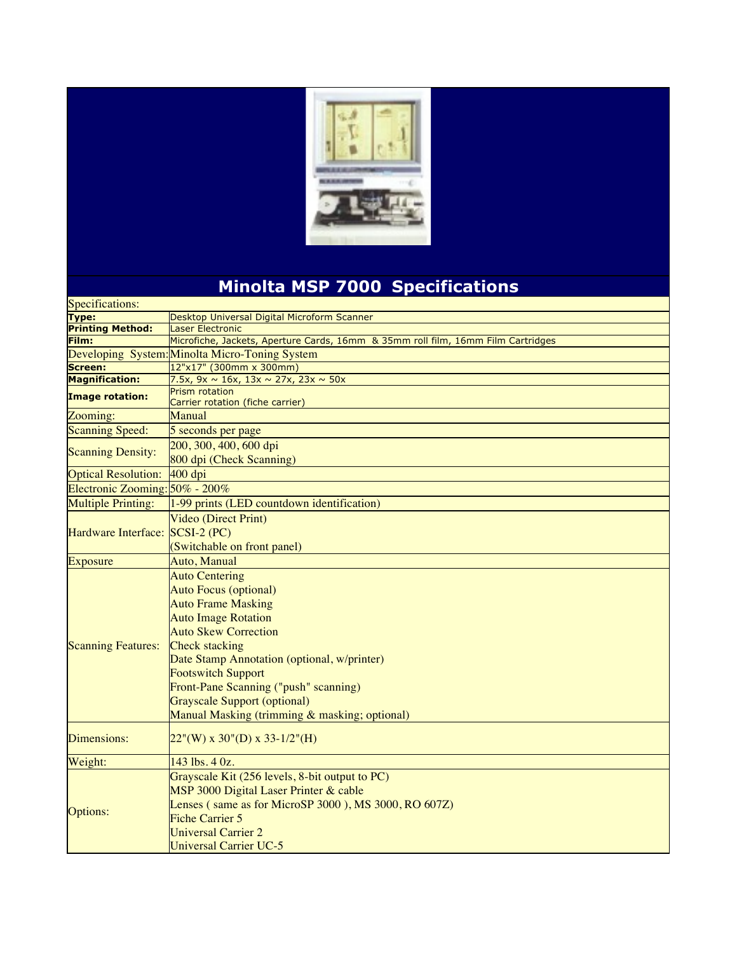

## **Minolta MSP 7000 Specifications**

| Specifications:                 |                                                                                  |
|---------------------------------|----------------------------------------------------------------------------------|
| <b>Type:</b>                    | Desktop Universal Digital Microform Scanner                                      |
| <b>Printing Method:</b>         | Laser Electronic                                                                 |
| Film:                           | Microfiche, Jackets, Aperture Cards, 16mm & 35mm roll film, 16mm Film Cartridges |
|                                 | Developing System: Minolta Micro-Toning System                                   |
| Screen:                         | 12"x17" (300mm x 300mm)                                                          |
| <b>Magnification:</b>           | 7.5x, 9x $\sim$ 16x, 13x $\sim$ 27x, 23x $\sim$ 50x                              |
| <b>Image rotation:</b>          | Prism rotation<br>Carrier rotation (fiche carrier)                               |
| Zooming:                        | Manual                                                                           |
| <b>Scanning Speed:</b>          | 5 seconds per page                                                               |
| <b>Scanning Density:</b>        | 200, 300, 400, 600 dpi                                                           |
|                                 | 800 dpi (Check Scanning)                                                         |
| <b>Optical Resolution:</b>      | $400$ dpi                                                                        |
| Electronic Zooming: 50% - 200%  |                                                                                  |
| <b>Multiple Printing:</b>       | 1-99 prints (LED countdown identification)                                       |
| Hardware Interface: SCSI-2 (PC) | Video (Direct Print)                                                             |
|                                 |                                                                                  |
|                                 | (Switchable on front panel)                                                      |
| <b>Exposure</b>                 | Auto, Manual                                                                     |
|                                 | <b>Auto Centering</b>                                                            |
|                                 | <b>Auto Focus (optional)</b>                                                     |
|                                 | <b>Auto Frame Masking</b>                                                        |
|                                 | <b>Auto Image Rotation</b>                                                       |
|                                 | <b>Auto Skew Correction</b>                                                      |
| <b>Scanning Features:</b>       | <b>Check stacking</b>                                                            |
|                                 | Date Stamp Annotation (optional, w/printer)                                      |
|                                 | <b>Footswitch Support</b>                                                        |
|                                 |                                                                                  |
|                                 | Front-Pane Scanning ("push" scanning)                                            |
|                                 | <b>Grayscale Support (optional)</b>                                              |
|                                 | Manual Masking (trimming & masking; optional)                                    |
| Dimensions:                     | $22''(W)$ x 30"(D) x 33-1/2"(H)                                                  |
| Weight:                         | 143 lbs. 4 0z.                                                                   |
| Options:                        | Grayscale Kit (256 levels, 8-bit output to PC)                                   |
|                                 | MSP 3000 Digital Laser Printer & cable                                           |
|                                 | Lenses (same as for MicroSP 3000), MS 3000, RO 607Z)                             |
|                                 | <b>Fiche Carrier 5</b>                                                           |
|                                 | <b>Universal Carrier 2</b>                                                       |
|                                 | Universal Carrier UC-5                                                           |
|                                 |                                                                                  |